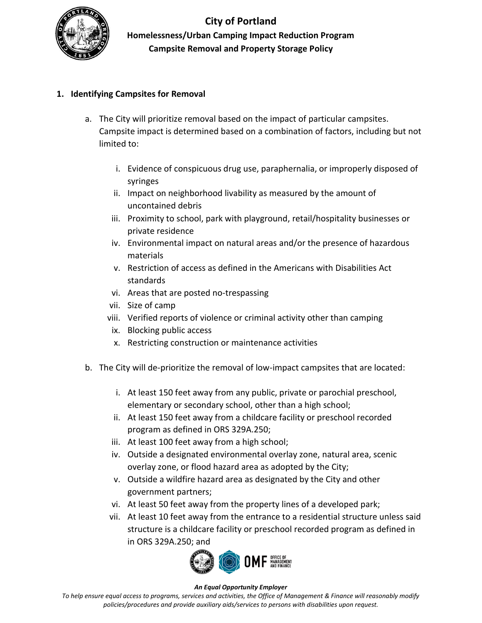

# **City of Portland Homelessness/Urban Camping Impact Reduction Program Campsite Removal and Property Storage Policy**

# **1. Identifying Campsites for Removal**

- a. The City will prioritize removal based on the impact of particular campsites. Campsite impact is determined based on a combination of factors, including but not limited to:
	- i. Evidence of conspicuous drug use, paraphernalia, or improperly disposed of syringes
	- ii. Impact on neighborhood livability as measured by the amount of uncontained debris
	- iii. Proximity to school, park with playground, retail/hospitality businesses or private residence
	- iv. Environmental impact on natural areas and/or the presence of hazardous materials
	- v. Restriction of access as defined in the Americans with Disabilities Act standards
	- vi. Areas that are posted no-trespassing
	- vii. Size of camp
	- viii. Verified reports of violence or criminal activity other than camping
	- ix. Blocking public access
	- x. Restricting construction or maintenance activities
- b. The City will de-prioritize the removal of low-impact campsites that are located:
	- i. At least 150 feet away from any public, private or parochial preschool, elementary or secondary school, other than a high school;
	- ii. At least 150 feet away from a childcare facility or preschool recorded program as defined in ORS 329A.250;
	- iii. At least 100 feet away from a high school;
	- iv. Outside a designated environmental overlay zone, natural area, scenic overlay zone, or flood hazard area as adopted by the City;
	- v. Outside a wildfire hazard area as designated by the City and other government partners;
	- vi. At least 50 feet away from the property lines of a developed park;
	- vii. At least 10 feet away from the entrance to a residential structure unless said structure is a childcare facility or preschool recorded program as defined in in ORS 329A.250; and



### *An Equal Opportunity Employer*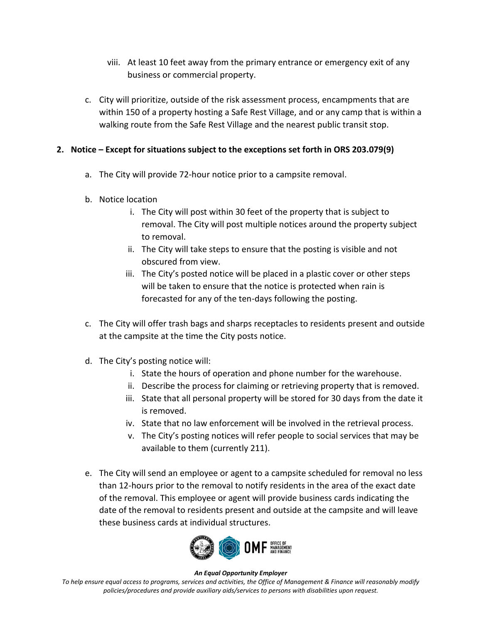- viii. At least 10 feet away from the primary entrance or emergency exit of any business or commercial property.
- c. City will prioritize, outside of the risk assessment process, encampments that are within 150 of a property hosting a Safe Rest Village, and or any camp that is within a walking route from the Safe Rest Village and the nearest public transit stop.

# **2. Notice – Except for situations subject to the exceptions set forth in ORS 203.079(9)**

- a. The City will provide 72-hour notice prior to a campsite removal.
- b. Notice location
	- i. The City will post within 30 feet of the property that is subject to removal. The City will post multiple notices around the property subject to removal.
	- ii. The City will take steps to ensure that the posting is visible and not obscured from view.
	- iii. The City's posted notice will be placed in a plastic cover or other steps will be taken to ensure that the notice is protected when rain is forecasted for any of the ten-days following the posting.
- c. The City will offer trash bags and sharps receptacles to residents present and outside at the campsite at the time the City posts notice.
- d. The City's posting notice will:
	- i. State the hours of operation and phone number for the warehouse.
	- ii. Describe the process for claiming or retrieving property that is removed.
	- iii. State that all personal property will be stored for 30 days from the date it is removed.
	- iv. State that no law enforcement will be involved in the retrieval process.
	- v. The City's posting notices will refer people to social services that may be available to them (currently 211).
- e. The City will send an employee or agent to a campsite scheduled for removal no less than 12-hours prior to the removal to notify residents in the area of the exact date of the removal. This employee or agent will provide business cards indicating the date of the removal to residents present and outside at the campsite and will leave these business cards at individual structures.



#### *An Equal Opportunity Employer*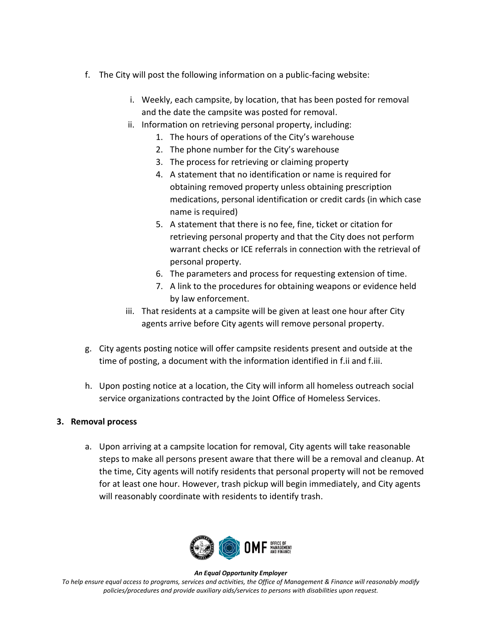- f. The City will post the following information on a public-facing website:
	- i. Weekly, each campsite, by location, that has been posted for removal and the date the campsite was posted for removal.
	- ii. Information on retrieving personal property, including:
		- 1. The hours of operations of the City's warehouse
		- 2. The phone number for the City's warehouse
		- 3. The process for retrieving or claiming property
		- 4. A statement that no identification or name is required for obtaining removed property unless obtaining prescription medications, personal identification or credit cards (in which case name is required)
		- 5. A statement that there is no fee, fine, ticket or citation for retrieving personal property and that the City does not perform warrant checks or ICE referrals in connection with the retrieval of personal property.
		- 6. The parameters and process for requesting extension of time.
		- 7. A link to the procedures for obtaining weapons or evidence held by law enforcement.
	- iii. That residents at a campsite will be given at least one hour after City agents arrive before City agents will remove personal property.
- g. City agents posting notice will offer campsite residents present and outside at the time of posting, a document with the information identified in f.ii and f.iii.
- h. Upon posting notice at a location, the City will inform all homeless outreach social service organizations contracted by the Joint Office of Homeless Services.

## **3. Removal process**

a. Upon arriving at a campsite location for removal, City agents will take reasonable steps to make all persons present aware that there will be a removal and cleanup. At the time, City agents will notify residents that personal property will not be removed for at least one hour. However, trash pickup will begin immediately, and City agents will reasonably coordinate with residents to identify trash.



#### *An Equal Opportunity Employer*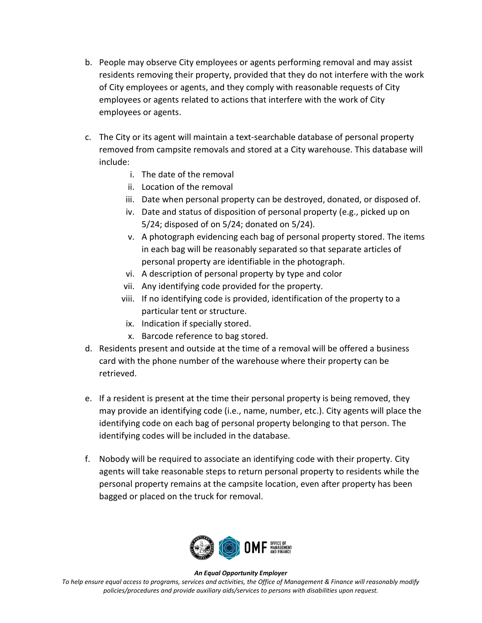- b. People may observe City employees or agents performing removal and may assist residents removing their property, provided that they do not interfere with the work of City employees or agents, and they comply with reasonable requests of City employees or agents related to actions that interfere with the work of City employees or agents.
- c. The City or its agent will maintain a text-searchable database of personal property removed from campsite removals and stored at a City warehouse. This database will include:
	- i. The date of the removal
	- ii. Location of the removal
	- iii. Date when personal property can be destroyed, donated, or disposed of.
	- iv. Date and status of disposition of personal property (e.g., picked up on 5/24; disposed of on 5/24; donated on 5/24).
	- v. A photograph evidencing each bag of personal property stored. The items in each bag will be reasonably separated so that separate articles of personal property are identifiable in the photograph.
	- vi. A description of personal property by type and color
	- vii. Any identifying code provided for the property.
	- viii. If no identifying code is provided, identification of the property to a particular tent or structure.
	- ix. Indication if specially stored.
	- x. Barcode reference to bag stored.
- d. Residents present and outside at the time of a removal will be offered a business card with the phone number of the warehouse where their property can be retrieved.
- e. If a resident is present at the time their personal property is being removed, they may provide an identifying code (i.e., name, number, etc.). City agents will place the identifying code on each bag of personal property belonging to that person. The identifying codes will be included in the database.
- f. Nobody will be required to associate an identifying code with their property. City agents will take reasonable steps to return personal property to residents while the personal property remains at the campsite location, even after property has been bagged or placed on the truck for removal.



#### *An Equal Opportunity Employer*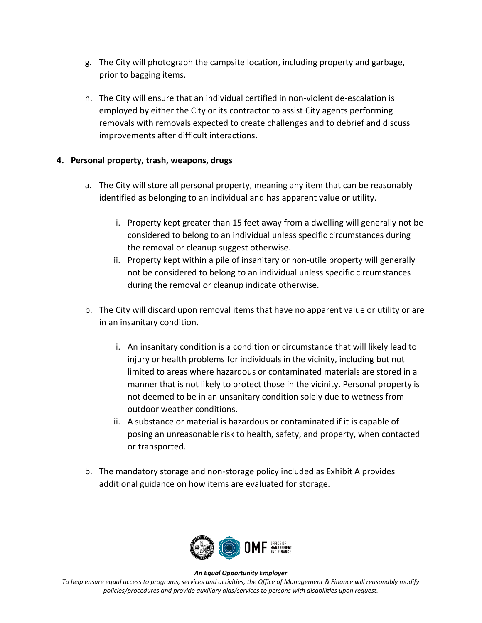- g. The City will photograph the campsite location, including property and garbage, prior to bagging items.
- h. The City will ensure that an individual certified in non-violent de-escalation is employed by either the City or its contractor to assist City agents performing removals with removals expected to create challenges and to debrief and discuss improvements after difficult interactions.

# **4. Personal property, trash, weapons, drugs**

- a. The City will store all personal property, meaning any item that can be reasonably identified as belonging to an individual and has apparent value or utility.
	- i. Property kept greater than 15 feet away from a dwelling will generally not be considered to belong to an individual unless specific circumstances during the removal or cleanup suggest otherwise.
	- ii. Property kept within a pile of insanitary or non-utile property will generally not be considered to belong to an individual unless specific circumstances during the removal or cleanup indicate otherwise.
- b. The City will discard upon removal items that have no apparent value or utility or are in an insanitary condition.
	- i. An insanitary condition is a condition or circumstance that will likely lead to injury or health problems for individuals in the vicinity, including but not limited to areas where hazardous or contaminated materials are stored in a manner that is not likely to protect those in the vicinity. Personal property is not deemed to be in an unsanitary condition solely due to wetness from outdoor weather conditions.
	- ii. A substance or material is hazardous or contaminated if it is capable of posing an unreasonable risk to health, safety, and property, when contacted or transported.
- b. The mandatory storage and non-storage policy included as Exhibit A provides additional guidance on how items are evaluated for storage.



#### *An Equal Opportunity Employer*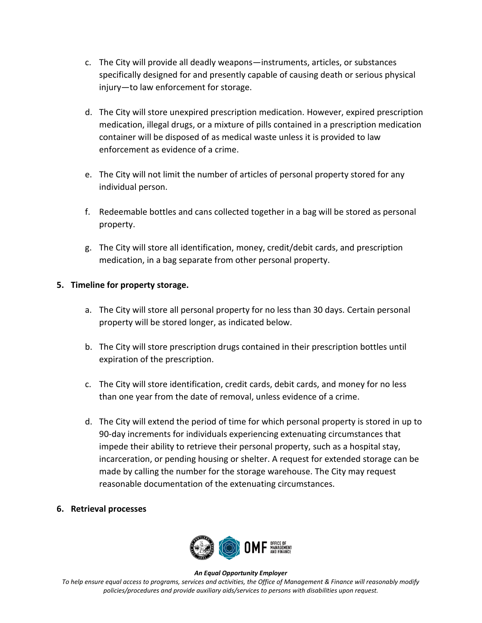- c. The City will provide all deadly weapons—instruments, articles, or substances specifically designed for and presently capable of causing death or serious physical injury—to law enforcement for storage.
- d. The City will store unexpired prescription medication. However, expired prescription medication, illegal drugs, or a mixture of pills contained in a prescription medication container will be disposed of as medical waste unless it is provided to law enforcement as evidence of a crime.
- e. The City will not limit the number of articles of personal property stored for any individual person.
- f. Redeemable bottles and cans collected together in a bag will be stored as personal property.
- g. The City will store all identification, money, credit/debit cards, and prescription medication, in a bag separate from other personal property.

# **5. Timeline for property storage.**

- a. The City will store all personal property for no less than 30 days. Certain personal property will be stored longer, as indicated below.
- b. The City will store prescription drugs contained in their prescription bottles until expiration of the prescription.
- c. The City will store identification, credit cards, debit cards, and money for no less than one year from the date of removal, unless evidence of a crime.
- d. The City will extend the period of time for which personal property is stored in up to 90-day increments for individuals experiencing extenuating circumstances that impede their ability to retrieve their personal property, such as a hospital stay, incarceration, or pending housing or shelter. A request for extended storage can be made by calling the number for the storage warehouse. The City may request reasonable documentation of the extenuating circumstances.

## **6. Retrieval processes**



#### *An Equal Opportunity Employer*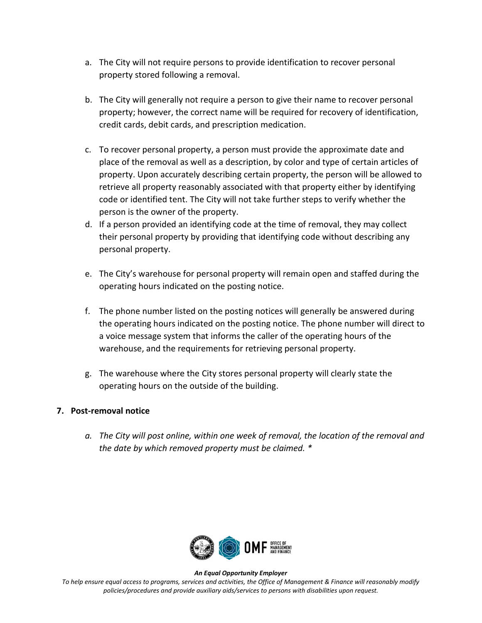- a. The City will not require persons to provide identification to recover personal property stored following a removal.
- b. The City will generally not require a person to give their name to recover personal property; however, the correct name will be required for recovery of identification, credit cards, debit cards, and prescription medication.
- c. To recover personal property, a person must provide the approximate date and place of the removal as well as a description, by color and type of certain articles of property. Upon accurately describing certain property, the person will be allowed to retrieve all property reasonably associated with that property either by identifying code or identified tent. The City will not take further steps to verify whether the person is the owner of the property.
- d. If a person provided an identifying code at the time of removal, they may collect their personal property by providing that identifying code without describing any personal property.
- e. The City's warehouse for personal property will remain open and staffed during the operating hours indicated on the posting notice.
- f. The phone number listed on the posting notices will generally be answered during the operating hours indicated on the posting notice. The phone number will direct to a voice message system that informs the caller of the operating hours of the warehouse, and the requirements for retrieving personal property.
- g. The warehouse where the City stores personal property will clearly state the operating hours on the outside of the building.

## **7. Post-removal notice**

*a. The City will post online, within one week of removal, the location of the removal and the date by which removed property must be claimed. \**



#### *An Equal Opportunity Employer*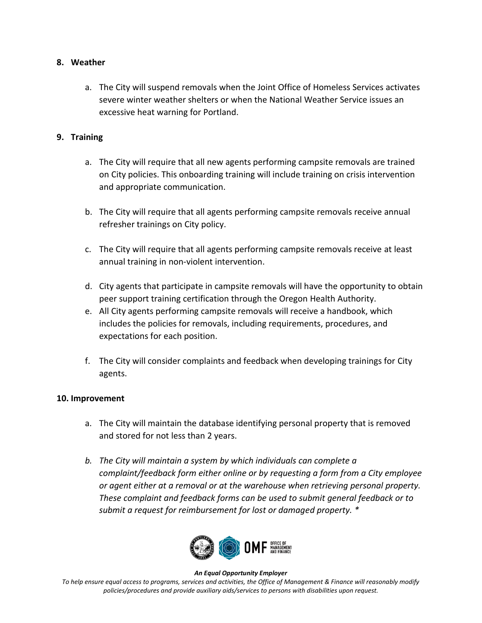## **8. Weather**

a. The City will suspend removals when the Joint Office of Homeless Services activates severe winter weather shelters or when the National Weather Service issues an excessive heat warning for Portland.

# **9. Training**

- a. The City will require that all new agents performing campsite removals are trained on City policies. This onboarding training will include training on crisis intervention and appropriate communication.
- b. The City will require that all agents performing campsite removals receive annual refresher trainings on City policy.
- c. The City will require that all agents performing campsite removals receive at least annual training in non-violent intervention.
- d. City agents that participate in campsite removals will have the opportunity to obtain peer support training certification through the Oregon Health Authority.
- e. All City agents performing campsite removals will receive a handbook, which includes the policies for removals, including requirements, procedures, and expectations for each position.
- f. The City will consider complaints and feedback when developing trainings for City agents.

## **10. Improvement**

- a. The City will maintain the database identifying personal property that is removed and stored for not less than 2 years.
- *b. The City will maintain a system by which individuals can complete a complaint/feedback form either online or by requesting a form from a City employee or agent either at a removal or at the warehouse when retrieving personal property. These complaint and feedback forms can be used to submit general feedback or to submit a request for reimbursement for lost or damaged property. \**



#### *An Equal Opportunity Employer*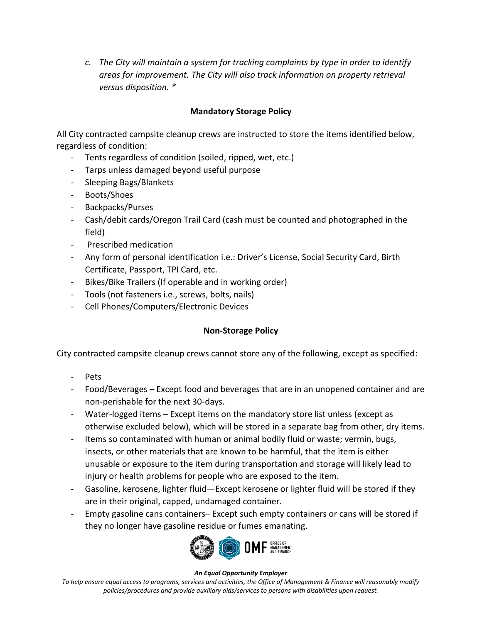*c. The City will maintain a system for tracking complaints by type in order to identify areas for improvement. The City will also track information on property retrieval versus disposition. \**

# **Mandatory Storage Policy**

All City contracted campsite cleanup crews are instructed to store the items identified below, regardless of condition:

- Tents regardless of condition (soiled, ripped, wet, etc.)
- Tarps unless damaged beyond useful purpose
- Sleeping Bags/Blankets
- Boots/Shoes
- Backpacks/Purses
- Cash/debit cards/Oregon Trail Card (cash must be counted and photographed in the field)
- Prescribed medication
- Any form of personal identification i.e.: Driver's License, Social Security Card, Birth Certificate, Passport, TPI Card, etc.
- Bikes/Bike Trailers (If operable and in working order)
- Tools (not fasteners i.e., screws, bolts, nails)
- Cell Phones/Computers/Electronic Devices

## **Non-Storage Policy**

City contracted campsite cleanup crews cannot store any of the following, except as specified:

- Pets
- Food/Beverages Except food and beverages that are in an unopened container and are non-perishable for the next 30-days.
- Water-logged items Except items on the mandatory store list unless (except as otherwise excluded below), which will be stored in a separate bag from other, dry items.
- Items so contaminated with human or animal bodily fluid or waste; vermin, bugs, insects, or other materials that are known to be harmful, that the item is either unusable or exposure to the item during transportation and storage will likely lead to injury or health problems for people who are exposed to the item.
- Gasoline, kerosene, lighter fluid—Except kerosene or lighter fluid will be stored if they are in their original, capped, undamaged container.
- Empty gasoline cans containers– Except such empty containers or cans will be stored if they no longer have gasoline residue or fumes emanating.



#### *An Equal Opportunity Employer*